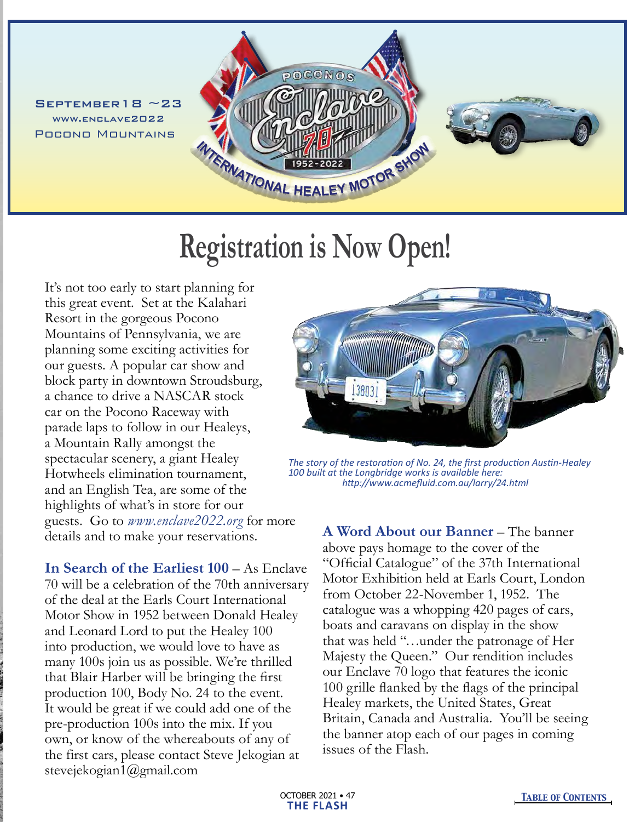$S$ EPTEMBER18 ~23 www.enclave2022 Pocono Mountains



## **Registration is Now Open!**

It's not too early to start planning for this great event. Set at the Kalahari Resort in the gorgeous Pocono Mountains of Pennsylvania, we are planning some exciting activities for our guests. A popular car show and block party in downtown Stroudsburg, a chance to drive a NASCAR stock car on the Pocono Raceway with parade laps to follow in our Healeys, a Mountain Rally amongst the spectacular scenery, a giant Healey Hotwheels elimination tournament, and an English Tea, are some of the highlights of what's in store for our guests. Go to *www.enclave2022.org* for more details and to make your reservations.

**In Search of the Earliest 100** – As Enclave 70 will be a celebration of the 70th anniversary of the deal at the Earls Court International Motor Show in 1952 between Donald Healey and Leonard Lord to put the Healey 100 into production, we would love to have as many 100s join us as possible. We're thrilled that Blair Harber will be bringing the first production 100, Body No. 24 to the event. It would be great if we could add one of the pre-production 100s into the mix. If you own, or know of the whereabouts of any of the first cars, please contact Steve Jekogian at stevejekogian1@gmail.com



*The story of the restoration of No. 24, the first production Austin-Healey 100 built at the Longbridge works is available here: http://www.acmefluid.com.au/larry/24.html*

**A Word About our Banner** – The banner above pays homage to the cover of the "Official Catalogue" of the 37th International Motor Exhibition held at Earls Court, London from October 22-November 1, 1952. The catalogue was a whopping 420 pages of cars, boats and caravans on display in the show that was held "…under the patronage of Her Majesty the Queen." Our rendition includes our Enclave 70 logo that features the iconic 100 grille flanked by the flags of the principal Healey markets, the United States, Great Britain, Canada and Australia. You'll be seeing the banner atop each of our pages in coming issues of the Flash.